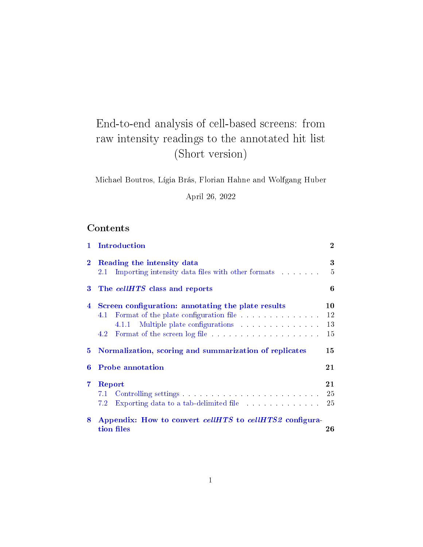# End-to-end analysis of cell-based screens: from raw intensity readings to the annotated hit list (Short version)

Michael Boutros, Lígia Brás, Florian Hahne and Wolfgang Huber

April 26, 2022

# Contents

| $\mathbf{1}$   | Introduction                                                                                                                                                                                                                          | $\overline{2}$ |
|----------------|---------------------------------------------------------------------------------------------------------------------------------------------------------------------------------------------------------------------------------------|----------------|
| $\bf{2}$       | Reading the intensity data                                                                                                                                                                                                            | 3              |
|                | Importing intensity data files with other formats<br>2.1                                                                                                                                                                              | $\overline{5}$ |
| 3              | The cellHTS class and reports                                                                                                                                                                                                         | 6              |
| $\overline{4}$ | Screen configuration: annotating the plate results                                                                                                                                                                                    | 10             |
|                | 4.1                                                                                                                                                                                                                                   | 12             |
|                | Multiple plate configurations<br>4.1.1                                                                                                                                                                                                | 13             |
|                | 4.2                                                                                                                                                                                                                                   | 15             |
| 5.             | Normalization, scoring and summarization of replicates                                                                                                                                                                                | 15             |
| 6              | <b>Probe annotation</b>                                                                                                                                                                                                               | 21             |
| $\overline{7}$ | Report                                                                                                                                                                                                                                | 21             |
|                | Controlling settings in the controlling settings in the controlling settings in the controlling settings of the controlling settings of the controlling settings of the control of the control of the control of the control o<br>7.1 | 25             |
|                | 7.2<br>Exporting data to a tab-delimited file                                                                                                                                                                                         | 25             |
| 8              | Appendix: How to convert cellHTS to cellHTS2 configura-                                                                                                                                                                               |                |
|                | tion files                                                                                                                                                                                                                            | 26             |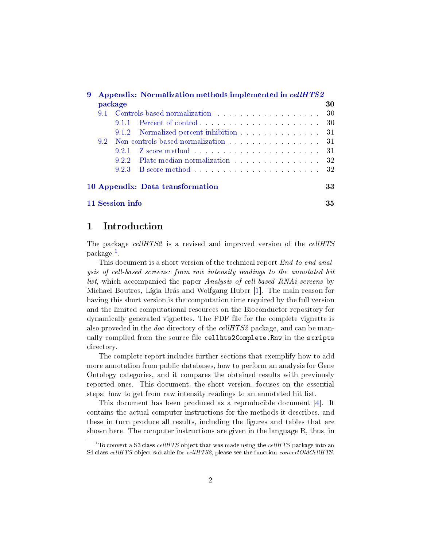<span id="page-1-2"></span>

| 9 | Appendix: Normalization methods implemented in cellHTS2 |                 |                                                                                      |     |  |  |  |
|---|---------------------------------------------------------|-----------------|--------------------------------------------------------------------------------------|-----|--|--|--|
|   |                                                         | package         |                                                                                      | 30  |  |  |  |
|   | 91                                                      |                 | Controls based normalization                                                         | -30 |  |  |  |
|   |                                                         |                 | 9.1.1 Percent of control                                                             | -30 |  |  |  |
|   |                                                         |                 | 9.1.2 Normalized percent inhibition                                                  | -31 |  |  |  |
|   | $9.2^{\circ}$                                           |                 | Non-controls-based normalization                                                     | -31 |  |  |  |
|   |                                                         |                 | 9.2.1 Z score method                                                                 | -31 |  |  |  |
|   |                                                         |                 | 9.2.2 Plate median normalization entries and state of the Plate median normalization |     |  |  |  |
|   |                                                         | 9.2.3           | B score method 32                                                                    |     |  |  |  |
|   |                                                         |                 | 10 Appendix: Data transformation                                                     | 33  |  |  |  |
|   |                                                         | 11 Session info |                                                                                      | 35  |  |  |  |

# <span id="page-1-0"></span>1 Introduction

The package *cellHTS2* is a revised and improved version of the *cellHTS* package [1](#page-1-1) .

This document is a short version of the technical report  $End$ -to-end analysis of cell-based screens: from raw intensity readings to the annotated hit list, which accompanied the paper Analysis of cell-based RNAi screens by Michael Boutros, Lígia Brás and Wolfgang Huber [\[1\]](#page-35-0). The main reason for having this short version is the computation time required by the full version and the limited computational resources on the Bioconductor repository for dynamically generated vignettes. The PDF file for the complete vignette is also proveded in the *doc* directory of the *cellHTS2* package, and can be manually compiled from the source file cellhts2Complete.Rnw in the scripts directory.

The complete report includes further sections that exemplify how to add more annotation from public databases, how to perform an analysis for Gene Ontology categories, and it compares the obtained results with previously reported ones. This document, the short version, focuses on the essential steps: how to get from raw intensity readings to an annotated hit list.

This document has been produced as a reproducible document [\[4\]](#page-35-1). It contains the actual computer instructions for the methods it describes, and these in turn produce all results, including the figures and tables that are shown here. The computer instructions are given in the language R, thus, in

<span id="page-1-1"></span> $\overline{^{1}$ To convert a S3 class cellHTS object that was made using the cellHTS package into an S4 class cellHTS object suitable for cellHTS2, please see the function convertOldCellHTS.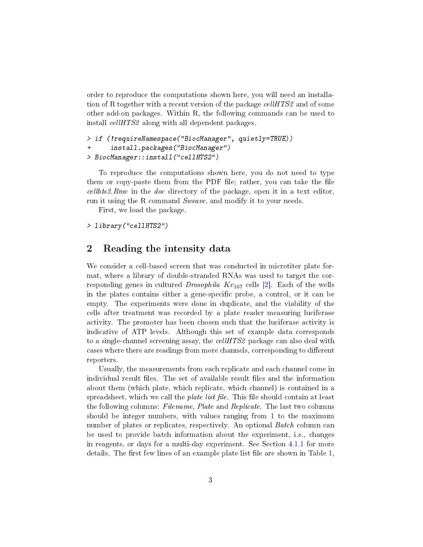<span id="page-2-1"></span>order to reproduce the computations shown here, you will need an installation of R together with a recent version of the package  $cellHTS2$  and of some other add-on packages. Within R, the following commands can be used to install cellHTS2 along with all dependent packages.

```
> if (!requireNamespace("BiocManager", quietly=TRUE))
+ install.packages("BiocManager")
> BiocManager::install("cellHTS2")
```
To reproduce the computations shown here, you do not need to type them or copy-paste them from the PDF file; rather, you can take the file  $cellhts2.Rnw$  in the *doc* directory of the package, open it in a text editor, run it using the R command Sweave, and modify it to your needs.

First, we load the package.

> library("cellHTS2")

# <span id="page-2-0"></span>2 Reading the intensity data

We consider a cell-based screen that was conducted in microtiter plate format, where a library of double-stranded RNAs was used to target the corresponding genes in cultured *Drosophila Kc*<sub>167</sub> cells [\[2\]](#page-35-2). Each of the wells in the plates contains either a gene-specific probe, a control, or it can be empty. The experiments were done in duplicate, and the viability of the cells after treatment was recorded by a plate reader measuring luciferase activity. The promoter has been chosen such that the luciferase activity is indicative of ATP levels. Although this set of example data corresponds to a single-channel screening assay, the cellHTS2 package can also deal with cases where there are readings from more channels, corresponding to different reporters.

Usually, the measurements from each replicate and each channel come in individual result files. The set of available result files and the information about them (which plate, which replicate, which channel) is contained in a spreadsheet, which we call the *plate list file*. This file should contain at least the following columns: Filename, Plate and Replicate. The last two columns should be integer numbers, with values ranging from 1 to the maximum number of plates or replicates, respectively. An optional Batch column can be used to provide batch information about the experiment, i.e., changes in reagents, or days for a multi-day experiment. See Section [4.1.1](#page-12-0) for more details. The first few lines of an example plate list file are shown in Table  $1$ ,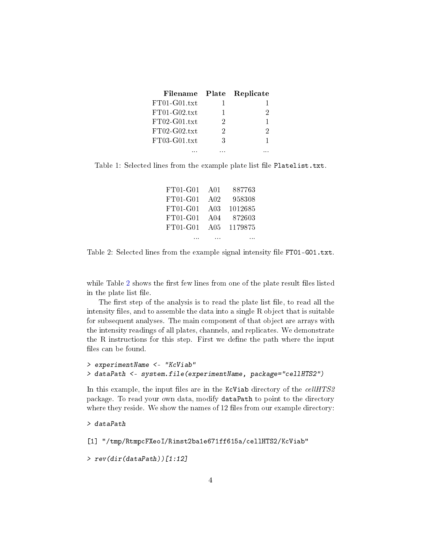| Filename                 |   | Plate Replicate |
|--------------------------|---|-----------------|
| $\rm{FT}01$ -G $01$ .txt |   |                 |
| $\rm{FT}01$ -G02.txt     | 1 | 2               |
| $\rm{FT}02$ -G01.txt     | 2 | 1               |
| $\rm{FT}02$ -G02.txt     | 2 | 2               |
| $FT03-G01.txt$           | З |                 |
|                          |   |                 |

<span id="page-3-0"></span>Table 1: Selected lines from the example plate list file Platelist.txt.

| $FT01-G01$ | A <sub>01</sub>  | 887763                                                         |
|------------|------------------|----------------------------------------------------------------|
| FT01-G01   | A02              | 958308                                                         |
| $FT01-G01$ | A <sub>0.3</sub> | 1012685                                                        |
| $FT01-G01$ | A <sub>04</sub>  | 872603                                                         |
| $FT01-G01$ | A05              | 1179875                                                        |
|            |                  | and a second contract the contract of the contract of the con- |

<span id="page-3-1"></span>Table 2: Selected lines from the example signal intensity file FT01-G01.txt.

while Table [2](#page-3-1) shows the first few lines from one of the plate result files listed in the plate list file.

The first step of the analysis is to read the plate list file, to read all the intensity files, and to assemble the data into a single  $R$  object that is suitable for subsequent analyses. The main component of that object are arrays with the intensity readings of all plates, channels, and replicates. We demonstrate the R instructions for this step. First we define the path where the input files can be found.

```
> experimentName <- "KcViab"
> dataPath <- system.file(experimentName, package="cellHTS2")
```
In this example, the input files are in the KcViab directory of the  $cellHTS2$ package. To read your own data, modify dataPath to point to the directory where they reside. We show the names of  $12$  files from our example directory:

```
> dataPath
```

```
[1] "/tmp/RtmpcFXeoI/Rinst2ba1e671ff615a/cellHTS2/KcViab"
```
> rev(dir(dataPath))[1:12]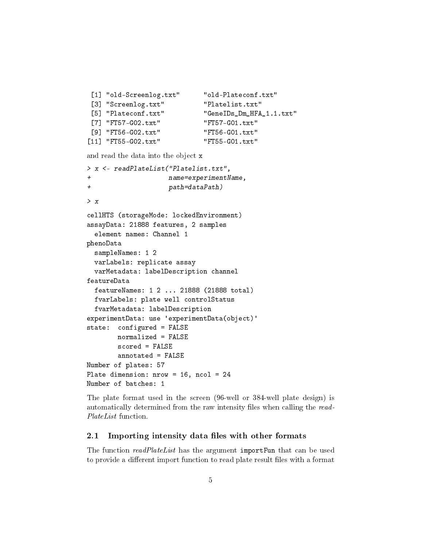```
[1] "old-Screenlog.txt" "old-Plateconf.txt"
[3] "Screenlog.txt" "Platelist.txt"
[5] "Plateconf.txt" "GeneIDs_Dm_HFA_1.1.txt"
[7] "FT57-G02.txt" "FT57-G01.txt"
[9] "FT56-G02.txt" "FT56-G01.txt"
[11] "FT55-G02.txt" "FT55-G01.txt"
and read the data into the object x
 element names: Channel 1
```

```
> x <- readPlateList("Platelist.txt",
+ name=experimentName,
+ path=dataPath)
> x
cellHTS (storageMode: lockedEnvironment)
assayData: 21888 features, 2 samples
phenoData
  sampleNames: 1 2
  varLabels: replicate assay
  varMetadata: labelDescription channel
featureData
 featureNames: 1 2 ... 21888 (21888 total)
 fvarLabels: plate well controlStatus
 fvarMetadata: labelDescription
experimentData: use 'experimentData(object)'
state: configured = FALSE
       normalized = FALSE
       scored = FALSE
       annotated = FALSE
Number of plates: 57
Plate dimension: nrow = 16, ncol = 24
Number of batches: 1
```
The plate format used in the screen (96-well or 384-well plate design) is automatically determined from the raw intensity files when calling the read-PlateList function.

# <span id="page-4-0"></span>2.1 Importing intensity data files with other formats

The function readPlateList has the argument importFun that can be used to provide a different import function to read plate result files with a format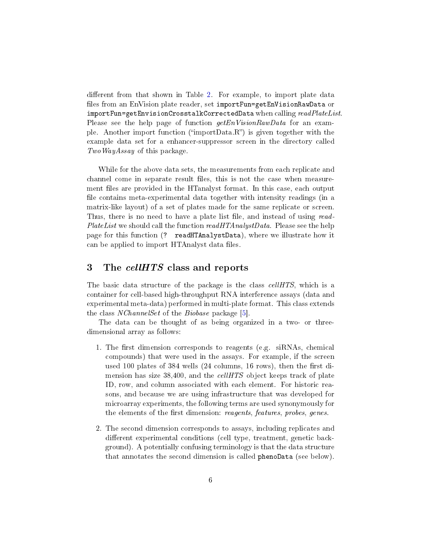<span id="page-5-1"></span>different from that shown in Table [2.](#page-3-1) For example, to import plate data files from an EnVision plate reader, set importFun=getEnVisionRawData or importFun=getEnvisionCrosstalkCorrectedData when calling  $readPlaceList$ . Please see the help page of function  $getEn Vision RawData$  for an example. Another import function ("importData.R") is given together with the example data set for a enhancer-suppressor screen in the directory called Two WayAssay of this package.

While for the above data sets, the measurements from each replicate and channel come in separate result files, this is not the case when measurement files are provided in the HTanalyst format. In this case, each output file contains meta-experimental data together with intensity readings (in a matrix-like layout) of a set of plates made for the same replicate or screen. Thus, there is no need to have a plate list file, and instead of using read-*PlateList* we should call the function  $readHTAnalystData$ . Please see the help page for this function (? readHTAnalystData), where we illustrate how it can be applied to import HTAnalyst data files.

# <span id="page-5-0"></span>3 The *cellHTS* class and reports

The basic data structure of the package is the class *cellHTS*, which is a container for cell-based high-throughput RNA interference assays (data and experimental meta-data) performed in multi-plate format. This class extends the class *NChannelSet* of the *Biobase* package [\[5\]](#page-35-3).

The data can be thought of as being organized in a two- or threedimensional array as follows:

- 1. The first dimension corresponds to reagents (e.g. siRNAs, chemical compounds) that were used in the assays. For example, if the screen used 100 plates of 384 wells  $(24 \text{ columns}, 16 \text{ rows})$ , then the first dimension has size 38,400, and the *cellHTS* object keeps track of plate ID, row, and column associated with each element. For historic reasons, and because we are using infrastructure that was developed for microarray experiments, the following terms are used synonymously for the elements of the first dimension: reagents, features, probes, genes.
- 2. The second dimension corresponds to assays, including replicates and different experimental conditions (cell type, treatment, genetic background). A potentially confusing terminology is that the data structure that annotates the second dimension is called phenoData (see below).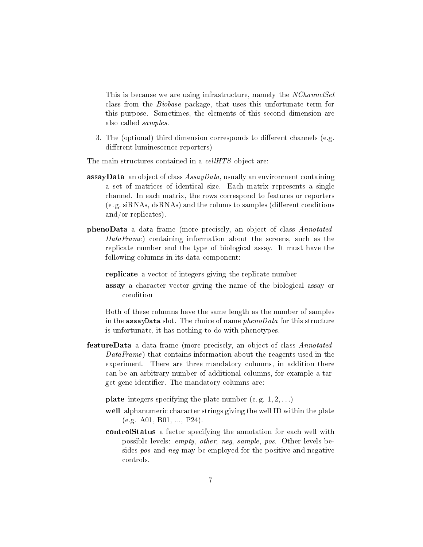This is because we are using infrastructure, namely the NChannelSet class from the Biobase package, that uses this unfortunate term for this purpose. Sometimes, the elements of this second dimension are also called samples.

3. The (optional) third dimension corresponds to different channels (e.g. different luminescence reporters)

The main structures contained in a *cellHTS* object are:

- **assayData** an object of class  $AssayData$ , usually an environment containing a set of matrices of identical size. Each matrix represents a single channel. In each matrix, the rows correspond to features or reporters  $(e, g.$  siRNAs,  $dsRNAs$ ) and the colums to samples (different conditions and/or replicates).
- phenoData a data frame (more precisely, an object of class Annotated- $DataFrame$ ) containing information about the screens, such as the replicate number and the type of biological assay. It must have the following columns in its data component:

replicate a vector of integers giving the replicate number

assay a character vector giving the name of the biological assay or condition

Both of these columns have the same length as the number of samples in the assay Data slot. The choice of name  $phenoData$  for this structure is unfortunate, it has nothing to do with phenotypes.

featureData a data frame (more precisely, an object of class Annotated-DataFrame) that contains information about the reagents used in the experiment. There are three mandatory columns, in addition there can be an arbitrary number of additional columns, for example a target gene identifier. The mandatory columns are:

**plate** integers specifying the plate number (e.g.  $1, 2, \ldots$ )

- well alphanumeric character strings giving the well ID within the plate (e.g. A01, B01, ..., P24).
- controlStatus a factor specifying the annotation for each well with possible levels: empty, other, neg, sample, pos. Other levels besides pos and neg may be employed for the positive and negative controls.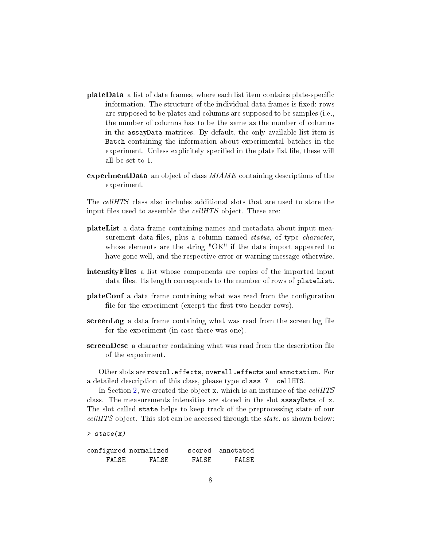- plateData a list of data frames, where each list item contains plate-specific information. The structure of the individual data frames is fixed: rows are supposed to be plates and columns are supposed to be samples (i.e., the number of columns has to be the same as the number of columns in the assayData matrices. By default, the only available list item is Batch containing the information about experimental batches in the experiment. Unless explicitely specified in the plate list file, these will all be set to 1.
- experiment Data an object of class  $MIAME$  containing descriptions of the experiment.

The cellHTS class also includes additional slots that are used to store the input files used to assemble the *cellHTS* object. These are:

- plateList a data frame containing names and metadata about input measurement data files, plus a column named *status*, of type *character*, whose elements are the string "OK" if the data import appeared to have gone well, and the respective error or warning message otherwise.
- intensityFiles a list whose components are copies of the imported input data files. Its length corresponds to the number of rows of plateList.
- plateConf a data frame containing what was read from the configuration file for the experiment (except the first two header rows).
- screenLog a data frame containing what was read from the screen log file for the experiment (in case there was one).
- screenDesc a character containing what was read from the description file of the experiment.

Other slots are rowcol.effects, overall.effects and annotation. For a detailed description of this class, please type class ? cellHTS.

In Section [2,](#page-2-0) we created the object x, which is an instance of the cellHTS class. The measurements intensities are stored in the slot assayData of x. The slot called state helps to keep track of the preprocessing state of our cellHTS object. This slot can be accessed through the state, as shown below:

> state(x)

|        | configured normalized |       | scored annotated |
|--------|-----------------------|-------|------------------|
| FALSE. | FALSE.                | FALSE | FALSE            |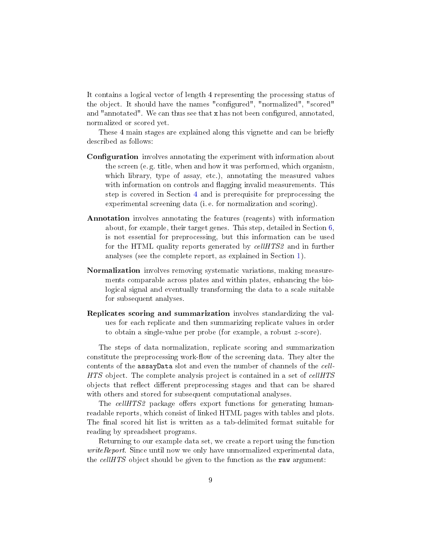It contains a logical vector of length 4 representing the processing status of the object. It should have the names "configured", "normalized", "scored" and "annotated". We can thus see that  $x$  has not been configured, annotated, normalized or scored yet.

These 4 main stages are explained along this vignette and can be briefly described as follows:

- **Configuration** involves annotating the experiment with information about the screen (e. g. title, when and how it was performed, which organism, which library, type of assay, etc.), annotating the measured values with information on controls and flagging invalid measurements. This step is covered in Section [4](#page-9-0) and is prerequisite for preprocessing the experimental screening data (i. e. for normalization and scoring).
- Annotation involves annotating the features (reagents) with information about, for example, their target genes. This step, detailed in Section [6,](#page-20-0) is not essential for preprocessing, but this information can be used for the HTML quality reports generated by *cellHTS2* and in further analyses (see the complete report, as explained in Section [1\)](#page-1-0).
- Normalization involves removing systematic variations, making measurements comparable across plates and within plates, enhancing the biological signal and eventually transforming the data to a scale suitable for subsequent analyses.
- Replicates scoring and summarization involves standardizing the values for each replicate and then summarizing replicate values in order to obtain a single-value per probe (for example, a robust z-score).

The steps of data normalization, replicate scoring and summarization constitute the preprocessing work-flow of the screening data. They alter the contents of the assayData slot and even the number of channels of the cell-HTS object. The complete analysis project is contained in a set of cellHTS objects that reflect different preprocessing stages and that can be shared with others and stored for subsequent computational analyses.

The cellHTS2 package offers export functions for generating humanreadable reports, which consist of linked HTML pages with tables and plots. The final scored hit list is written as a tab-delimited format suitable for reading by spreadsheet programs.

Returning to our example data set, we create a report using the function *writeReport.* Since until now we only have unnormalized experimental data, the *cellHTS* object should be given to the function as the raw argument: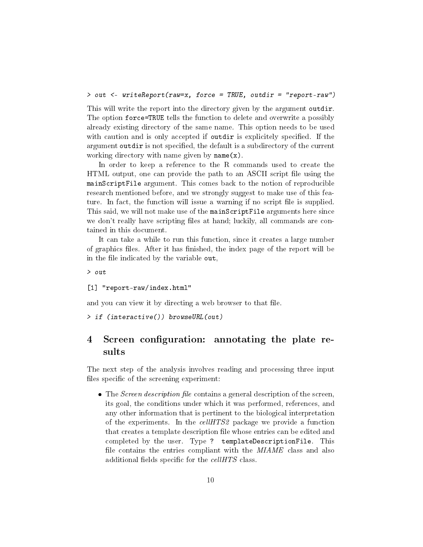> out <- writeReport(raw=x, force = TRUE, outdir = "report-raw")

This will write the report into the directory given by the argument outdir. The option force=TRUE tells the function to delete and overwrite a possibly already existing directory of the same name. This option needs to be used with caution and is only accepted if outdir is explicitely specified. If the argument outdir is not specified, the default is a subdirectory of the current working directory with name given by name(x).

In order to keep a reference to the R commands used to create the HTML output, one can provide the path to an ASCII script file using the mainScriptFile argument. This comes back to the notion of reproducible research mentioned before, and we strongly suggest to make use of this feature. In fact, the function will issue a warning if no script file is supplied. This said, we will not make use of the mainScriptFile arguments here since we don't really have scripting files at hand; luckily, all commands are contained in this document.

It can take a while to run this function, since it creates a large number of graphics files. After it has finished, the index page of the report will be in the file indicated by the variable out,

> out

[1] "report-raw/index.html"

and you can view it by directing a web browser to that file.

> if (interactive()) browseURL(out)

# <span id="page-9-0"></span>4 Screen configuration: annotating the plate results

The next step of the analysis involves reading and processing three input files specific of the screening experiment:

 $\bullet$  The *Screen description file* contains a general description of the screen, its goal, the conditions under which it was performed, references, and any other information that is pertinent to the biological interpretation of the experiments. In the cellHTS2 package we provide a function that creates a template description file whose entries can be edited and completed by the user. Type ? templateDescriptionFile. This file contains the entries compliant with the *MIAME* class and also additional fields specific for the  $cellHTS$  class.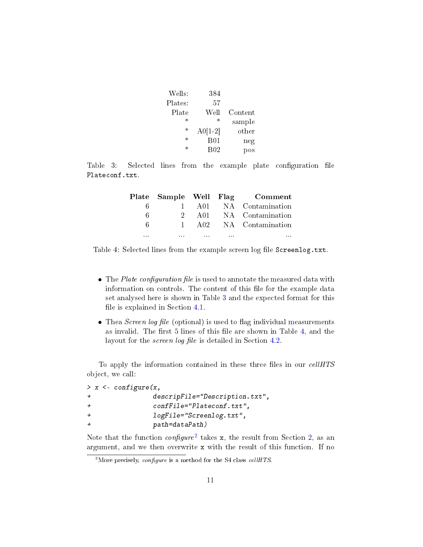|                 | 384             | Wells:  |
|-----------------|-----------------|---------|
|                 | 57              | Plates: |
| Content         | Well            | Plate   |
| sample          | $\ast$          | $\ast$  |
| other           | $A0[1-2]$       | $\ast$  |
| neg             | B01             | $\ast$  |
| $_{\text{pos}}$ | B <sub>02</sub> | $\ast$  |
|                 |                 |         |

Table 3: Selected lines from the example plate configuration file Plateconf.txt.

<span id="page-10-0"></span>

|          |              |          |          | Plate Sample Well Flag Comment |
|----------|--------------|----------|----------|--------------------------------|
| ĥ        | $\mathbf{I}$ | A01      |          | NA Contamination               |
| 6        |              | A01      |          | NA Contamination               |
| 6        |              | - A 02.  |          | NA Contamination               |
| $\cdots$ | 1.1.1        | $\cdots$ | $\cdots$ | $\cdots$                       |

<span id="page-10-1"></span>Table 4: Selected lines from the example screen log file Screenlog.txt.

- $\bullet$  The Plate configuration file is used to annotate the measured data with information on controls. The content of this file for the example data set analysed here is shown in Table [3](#page-10-0) and the expected format for this file is explained in Section  $4.1$ .
- $\bullet$  Thea *Screen log file* (optional) is used to flag individual measurements as invalid. The first  $5$  lines of this file are shown in Table  $4$ , and the layout for the *screen log file* is detailed in Section [4.2.](#page-14-0)

To apply the information contained in these three files in our  $cellHTS$ object, we call:

|                |  | $> x < -$ configure(x,                       |
|----------------|--|----------------------------------------------|
| $\pm$          |  | $descript{!}$ descripFile="Description.txt", |
| $\ddot{}$      |  | confFile="Plateconf.txt",                    |
| $\ddot{}$      |  | $logFile="ScreenLog.txt",$                   |
| $\overline{+}$ |  | path=dataPath)                               |
|                |  |                                              |

Note that the function  $\mathit{confidence}^2$  $\mathit{confidence}^2$  takes x, the result from Section [2,](#page-2-0) as an argument, and we then overwrite x with the result of this function. If no

<span id="page-10-2"></span><sup>&</sup>lt;sup>2</sup>More precisely, *configure* is a method for the S4 class *cellHTS*.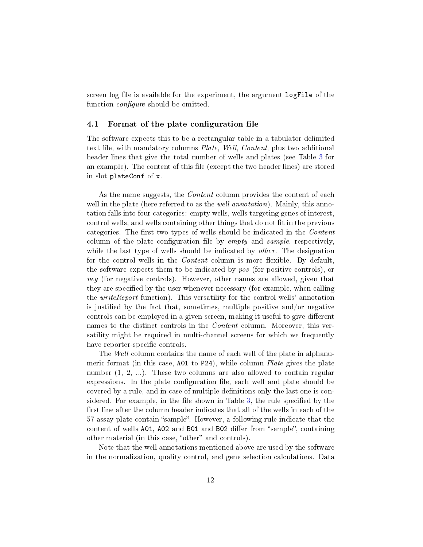screen log file is available for the experiment, the argument logFile of the function *configure* should be omitted.

### <span id="page-11-0"></span>4.1 Format of the plate configuration file

The software expects this to be a rectangular table in a tabulator delimited text file, with mandatory columns Plate, Well, Content, plus two additional header lines that give the total number of wells and plates (see Table [3](#page-10-0) for an example). The content of this file (except the two header lines) are stored in slot plateConf of x.

As the name suggests, the *Content* column provides the content of each well in the plate (here referred to as the *well annotation*). Mainly, this annotation falls into four categories: empty wells, wells targeting genes of interest, control wells, and wells containing other things that do not fit in the previous categories. The first two types of wells should be indicated in the Content column of the plate configuration file by  $empty$  and sample, respectively, while the last type of wells should be indicated by *other*. The designation for the control wells in the *Content* column is more flexible. By default, the software expects them to be indicated by pos (for positive controls), or neg (for negative controls). However, other names are allowed, given that they are specified by the user whenever necessary (for example, when calling the *writeReport* function). This versatility for the control wells' annotation is justified by the fact that, sometimes, multiple positive and/or negative controls can be employed in a given screen, making it useful to give different names to the distinct controls in the Content column. Moreover, this versatility might be required in multi-channel screens for which we frequently have reporter-specific controls.

The Well column contains the name of each well of the plate in alphanumeric format (in this case, A01 to P24), while column *Plate* gives the plate number  $(1, 2, ...)$ . These two columns are also allowed to contain regular expressions. In the plate configuration file, each well and plate should be covered by a rule, and in case of multiple definitions only the last one is con-sidered. For example, in the file shown in Table [3,](#page-10-0) the rule specified by the first line after the column header indicates that all of the wells in each of the 57 assay plate contain "sample". However, a following rule indicate that the content of wells A01, A02 and B01 and B02 differ from "sample", containing other material (in this case, "other" and controls).

Note that the well annotations mentioned above are used by the software in the normalization, quality control, and gene selection calculations. Data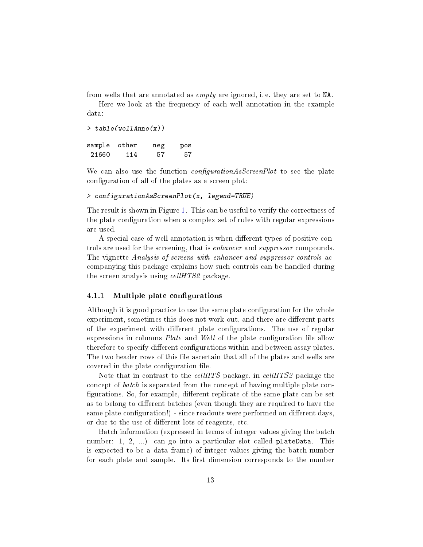from wells that are annotated as empty are ignored, i. e. they are set to NA.

Here we look at the frequency of each well annotation in the example data:

```
> table(wellAnno(x))
sample other neg pos
21660 114 57 57
```
We can also use the function *configurationAsScreenPlot* to see the plate configuration of all of the plates as a screen plot:

### > configurationAsScreenPlot(x, legend=TRUE)

The result is shown in Figure [1.](#page-13-0) This can be useful to verify the correctness of the plate configuration when a complex set of rules with regular expressions are used.

A special case of well annotation is when different types of positive controls are used for the screening, that is *enhancer* and *suppressor* compounds. The vignette Analysis of screens with enhancer and suppressor controls accompanying this package explains how such controls can be handled during the screen analysis using *cellHTS2* package.

## <span id="page-12-0"></span>4.1.1 Multiple plate configurations

Although it is good practice to use the same plate configuration for the whole experiment, sometimes this does not work out, and there are different parts of the experiment with different plate configurations. The use of regular expressions in columns *Plate* and *Well* of the plate configuration file allow therefore to specify different configurations within and between assay plates. The two header rows of this file ascertain that all of the plates and wells are covered in the plate configuration file.

Note that in contrast to the *cellHTS* package, in *cellHTS2* package the concept of batch is separated from the concept of having multiple plate con figurations. So, for example, different replicate of the same plate can be set as to belong to different batches (even though they are required to have the same plate configuration!) - since readouts were performed on different days, or due to the use of different lots of reagents, etc.

Batch information (expressed in terms of integer values giving the batch number: 1, 2, ...) can go into a particular slot called plateData. This is expected to be a data frame) of integer values giving the batch number for each plate and sample. Its first dimension corresponds to the number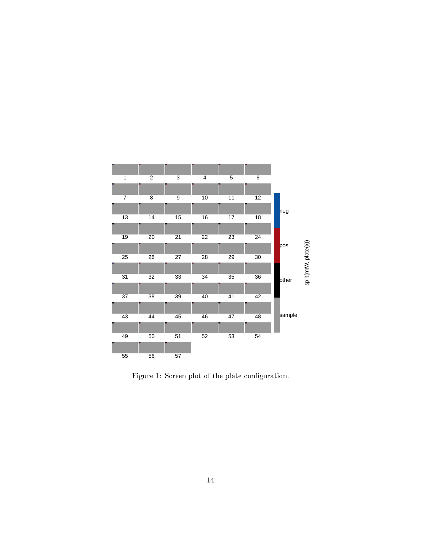

<span id="page-13-0"></span>Figure 1: Screen plot of the plate configuration.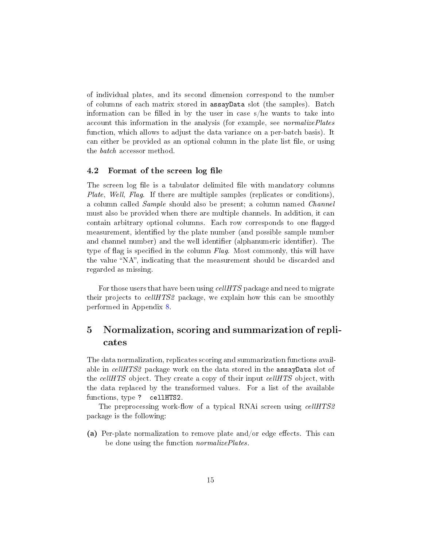of individual plates, and its second dimension correspond to the number of columns of each matrix stored in assayData slot (the samples). Batch information can be filled in by the user in case  $s/h$ e wants to take into account this information in the analysis (for example, see *normalizePlates* function, which allows to adjust the data variance on a per-batch basis). It can either be provided as an optional column in the plate list file, or using the batch accessor method.

#### <span id="page-14-0"></span>4.2 Format of the screen log file

The screen log file is a tabulator delimited file with mandatory columns Plate, Well, Flag. If there are multiple samples (replicates or conditions), a column called Sample should also be present; a column named Channel must also be provided when there are multiple channels. In addition, it can contain arbitrary optional columns. Each row corresponds to one flagged measurement, identified by the plate number (and possible sample number and channel number) and the well identifier (alphanumeric identifier). The type of flag is specified in the column  $Flag$ . Most commonly, this will have the value "NA", indicating that the measurement should be discarded and regarded as missing.

For those users that have been using cellHTS package and need to migrate their projects to cellHTS2 package, we explain how this can be smoothly performed in Appendix [8.](#page-25-0)

# <span id="page-14-1"></span>5 Normalization, scoring and summarization of replicates

The data normalization, replicates scoring and summarization functions available in *cellHTS2* package work on the data stored in the **assayData** slot of the *cellHTS* object. They create a copy of their input *cellHTS* object, with the data replaced by the transformed values. For a list of the available functions, type ? cellHTS2.

The preprocessing work-flow of a typical RNAi screen using *cellHTS2* package is the following:

(a) Per-plate normalization to remove plate and/or edge effects. This can be done using the function *normalizePlates*.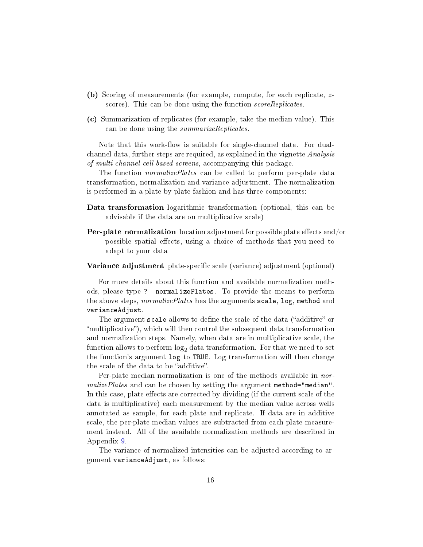- (b) Scoring of measurements (for example, compute, for each replicate, zscores). This can be done using the function scoreReplicates.
- (c) Summarization of replicates (for example, take the median value). This can be done using the *summarizeReplicates*.

Note that this work-flow is suitable for single-channel data. For dualchannel data, further steps are required, as explained in the vignette Analysis of multi-channel cell-based screens, accompanying this package.

The function *normalizePlates* can be called to perform per-plate data transformation, normalization and variance adjustment. The normalization is performed in a plate-by-plate fashion and has three components:

- Data transformation logarithmic transformation (optional, this can be advisable if the data are on multiplicative scale)
- **Per-plate normalization** location adjustment for possible plate effects and/or possible spatial effects, using a choice of methods that you need to adapt to your data

#### Variance adjustment plate-specific scale (variance) adjustment (optional)

For more details about this function and available normalization methods, please type ? normalizePlates. To provide the means to perform the above steps, *normalizePlates* has the arguments scale, log, method and varianceAdjust.

The argument scale allows to define the scale of the data ("additive" or multiplicative), which will then control the subsequent data transformation and normalization steps. Namely, when data are in multiplicative scale, the function allows to perform  $\log_2$  data transformation. For that we need to set the function's argument log to TRUE. Log transformation will then change the scale of the data to be "additive".

Per-plate median normalization is one of the methods available in nor $malize Plates$  and can be chosen by setting the argument method="median". In this case, plate effects are corrected by dividing (if the current scale of the data is multiplicative) each measurement by the median value across wells annotated as sample, for each plate and replicate. If data are in additive scale, the per-plate median values are subtracted from each plate measurement instead. All of the available normalization methods are described in Appendix [9.](#page-29-0)

The variance of normalized intensities can be adjusted according to argument varianceAdjust, as follows: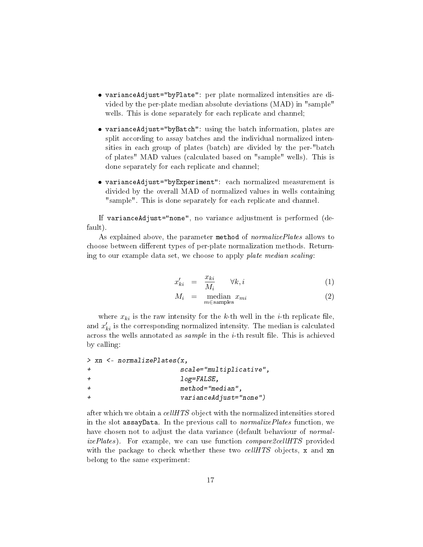- varianceAdjust="byPlate": per plate normalized intensities are divided by the per-plate median absolute deviations (MAD) in "sample" wells. This is done separately for each replicate and channel;
- varianceAdjust="byBatch": using the batch information, plates are split according to assay batches and the individual normalized intensities in each group of plates (batch) are divided by the per-"batch of plates" MAD values (calculated based on "sample" wells). This is done separately for each replicate and channel;
- varianceAdjust="byExperiment": each normalized measurement is divided by the overall MAD of normalized values in wells containing "sample". This is done separately for each replicate and channel.

If varianceAdjust="none", no variance adjustment is performed (default).

As explained above, the parameter method of *normalizePlates* allows to choose between different types of per-plate normalization methods. Returning to our example data set, we choose to apply plate median scaling:

<span id="page-16-0"></span>
$$
x'_{ki} = \frac{x_{ki}}{M_i} \qquad \forall k, i \tag{1}
$$

$$
M_i = \underset{m \in \text{samples}}{\text{median } x_{mi}} \tag{2}
$$

where  $x_{ki}$  is the raw intensity for the k-th well in the *i*-th replicate file, and  $x^{\prime}_{ki}$  is the corresponding normalized intensity. The median is calculated across the wells annotated as  $sample$  in the  $i$ -th result file. This is achieved by calling:

```
> xn <- normalizePlates(x,
+ scale="multiplicative",
+ log=FALSE,
+ method="median",
+ varianceAdjust="none")
```
after which we obtain a  $cellHTS$  object with the normalized intensities stored in the slot assayData. In the previous call to *normalizePlates* function, we have chosen not to adjust the data variance (default behaviour of *normal*izePlates). For example, we can use function *compare2cellHTS* provided with the package to check whether these two cellHTS objects, x and xn belong to the same experiment: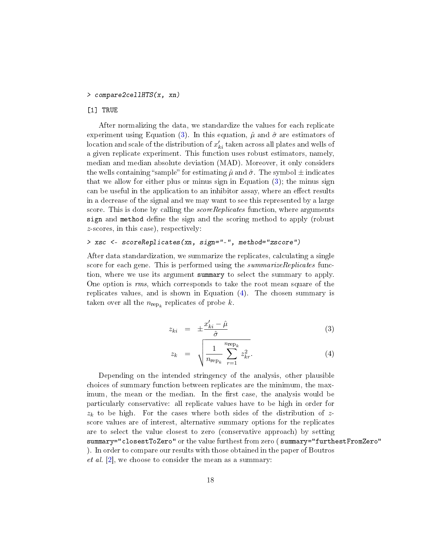#### <span id="page-17-1"></span>> compare2cellHTS(x, xn)

### [1] TRUE

After normalizing the data, we standardize the values for each replicate experiment using Equation [\(3\)](#page-17-0). In this equation,  $\hat{\mu}$  and  $\hat{\sigma}$  are estimators of location and scale of the distribution of  $x^{\prime}_{ki}$  taken across all plates and wells of a given replicate experiment. This function uses robust estimators, namely, median and median absolute deviation (MAD). Moreover, it only considers the wells containing "sample" for estimating  $\hat{\mu}$  and  $\hat{\sigma}$ . The symbol  $\pm$  indicates that we allow for either plus or minus sign in Equation  $(3)$ ; the minus sign can be useful in the application to an inhibitor assay, where an effect results in a decrease of the signal and we may want to see this represented by a large score. This is done by calling the *scoreReplicates* function, where arguments sign and method define the sign and the scoring method to apply (robust z-scores, in this case), respectively:

#### > xsc <- scoreReplicates(xn, sign="-", method="zscore")

After data standardization, we summarize the replicates, calculating a single score for each gene. This is performed using the *summarizeReplicates* function, where we use its argument summary to select the summary to apply. One option is rms, which corresponds to take the root mean square of the replicates values, and is shown in Equation [\(4\)](#page-17-0). The chosen summary is taken over all the  $n_{\text{rep}_k}$  replicates of probe k.

<span id="page-17-0"></span>
$$
z_{ki} = \pm \frac{x'_{ki} - \hat{\mu}}{\hat{\sigma}} \tag{3}
$$

$$
z_k = \sqrt{\frac{1}{n_{\rm rep_k}} \sum_{r=1}^{n_{\rm rep_k}} z_{kr}^2}.
$$
 (4)

Depending on the intended stringency of the analysis, other plausible choices of summary function between replicates are the minimum, the maximum, the mean or the median. In the first case, the analysis would be particularly conservative: all replicate values have to be high in order for  $z_k$  to be high. For the cases where both sides of the distribution of zscore values are of interest, alternative summary options for the replicates are to select the value closest to zero (conservative approach) by setting summary="closestToZero" or the value furthest from zero ( summary="furthestFromZero" ). In order to compare our results with those obtained in the paper of Boutros *et al.* [\[2\]](#page-35-2), we choose to consider the mean as a summary: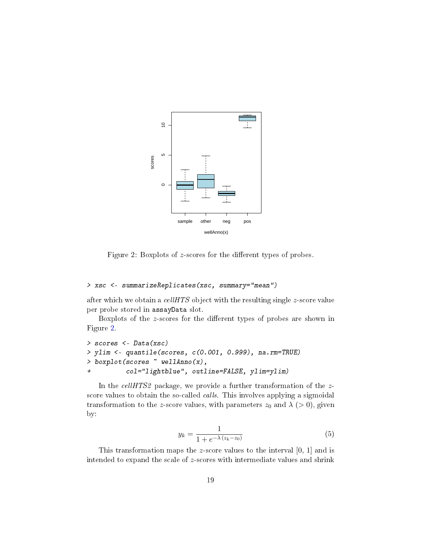

<span id="page-18-0"></span>Figure 2: Boxplots of  $z$ -scores for the different types of probes.

# > xsc <- summarizeReplicates(xsc, summary="mean")

after which we obtain a  $cellHTS$  object with the resulting single  $z$ -score value per probe stored in assayData slot.

Boxplots of the z-scores for the different types of probes are shown in Figure [2.](#page-18-0)

```
> scores <- Data(xsc)
> ylim <- quantile(scores, c(0.001, 0.999), na.rm=TRUE)
> boxplot(scores ~ wellAnno(x),
+ col="lightblue", outline=FALSE, ylim=ylim)
```
In the *cellHTS2* package, we provide a further transformation of the zscore values to obtain the so-called *calls*. This involves applying a sigmoidal transformation to the z-score values, with parameters  $z_0$  and  $\lambda$  (> 0), given by:

$$
y_k = \frac{1}{1 + e^{-\lambda(z_k - z_0)}}
$$
(5)

This transformation maps the z-score values to the interval [0, 1] and is intended to expand the scale of z-scores with intermediate values and shrink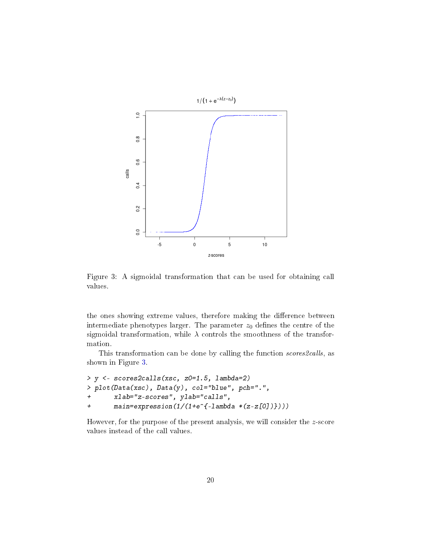

<span id="page-19-0"></span>Figure 3: A sigmoidal transformation that can be used for obtaining call values.

the ones showing extreme values, therefore making the difference between intermediate phenotypes larger. The parameter  $z_0$  defines the centre of the sigmoidal transformation, while  $\lambda$  controls the smoothness of the transformation.

This transformation can be done by calling the function scores 2 calls, as shown in Figure [3.](#page-19-0)

```
> y <- scores2calls(xsc, z0=1.5, lambda=2)
> plot(Data(xsc), Data(y), col="blue", pch=".",
+ xlab="z-scores", ylab="calls",
+ main=expression(1/(1+e^{-lambda *(z-z[0])})))
```
However, for the purpose of the present analysis, we will consider the z-score values instead of the call values.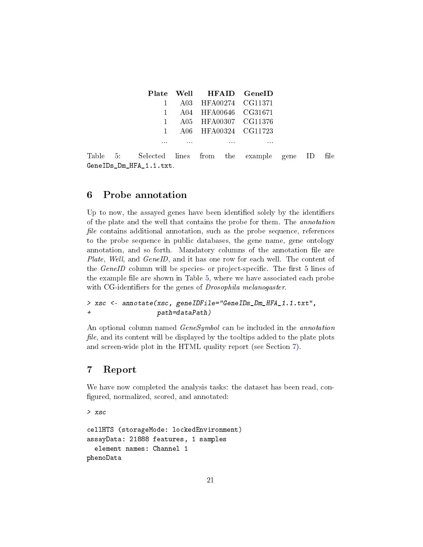|                                                       | Plate Well HFAID GeneID           |                             |                          |          |  |
|-------------------------------------------------------|-----------------------------------|-----------------------------|--------------------------|----------|--|
|                                                       | 1 A03 HFA00274 CG11371            |                             |                          |          |  |
|                                                       | 1 A04 HFA00646 CG31671            |                             |                          |          |  |
|                                                       | 1 A05 HFA00307 CG11376            |                             |                          |          |  |
|                                                       | 1 A06 HFA00324 CG11723            |                             |                          |          |  |
|                                                       | the company's company's company's | the company's company's and | <b>Contract Contract</b> | $\cdots$ |  |
| Table 5: Selected lines from the example gene ID file |                                   |                             |                          |          |  |

<span id="page-20-2"></span>GeneIDs\_Dm\_HFA\_1.1.txt.

# <span id="page-20-0"></span>6 Probe annotation

Up to now, the assayed genes have been identified solely by the identifiers of the plate and the well that contains the probe for them. The annotation file contains additional annotation, such as the probe sequence, references to the probe sequence in public databases, the gene name, gene ontology annotation, and so forth. Mandatory columns of the annotation file are Plate, Well, and GeneID, and it has one row for each well. The content of the  $GeneID$  column will be species- or project-specific. The first 5 lines of the example file are shown in Table [5,](#page-20-2) where we have associated each probe with CG-identifiers for the genes of *Drosophila melanogaster*.

```
> xsc <- annotate(xsc, geneIDFile="GeneIDs_Dm_HFA_1.1.txt",
+ path=dataPath)
```
An optional column named *GeneSymbol* can be included in the *annotation* file, and its content will be displayed by the tooltips added to the plate plots and screen-wide plot in the HTML quality report (see Section [7\)](#page-20-1).

# <span id="page-20-1"></span>7 Report

We have now completed the analysis tasks: the dataset has been read, con figured, normalized, scored, and annotated:

```
> xsc
cellHTS (storageMode: lockedEnvironment)
assayData: 21888 features, 1 samples
  element names: Channel 1
phenoData
```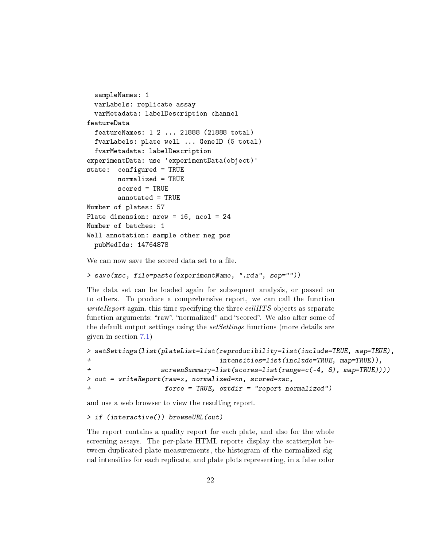```
sampleNames: 1
  varLabels: replicate assay
  varMetadata: labelDescription channel
featureData
  featureNames: 1 2 ... 21888 (21888 total)
  fvarLabels: plate well ... GeneID (5 total)
  fvarMetadata: labelDescription
experimentData: use 'experimentData(object)'
state: configured = TRUE
        normalized = TRUE
        scored = TRUE
        annotated = TRUE
Number of plates: 57
Plate dimension: nrow = 16, ncol = 24
Number of batches: 1
Well annotation: sample other neg pos
  pubMedIds: 14764878
```
We can now save the scored data set to a file.

```
> save(xsc, file=paste(experimentName, ".rda", sep=""))
```
The data set can be loaded again for subsequent analysis, or passed on to others. To produce a comprehensive report, we can call the function  $writeReport$  again, this time specifying the three  $cellHTS$  objects as separate function arguments: "raw", "normalized" and "scored". We also alter some of the default output settings using the *setSettings* functions (more details are given in section [7.1\)](#page-24-0)

```
> setSettings(list(plateList=list(reproducibility=list(include=TRUE, map=TRUE),
+ intensities=list(include=TRUE, map=TRUE)),
+ screenSummary=list(scores=list(range=c(-4, 8), map=TRUE))))
> out = writeReport(raw=x, normalized=xn, scored=xsc,
                 force = TRUE, outdir = "report-normalized")
```
and use a web browser to view the resulting report.

```
> if (interactive()) browseURL(out)
```
The report contains a quality report for each plate, and also for the whole screening assays. The per-plate HTML reports display the scatterplot between duplicated plate measurements, the histogram of the normalized signal intensities for each replicate, and plate plots representing, in a false color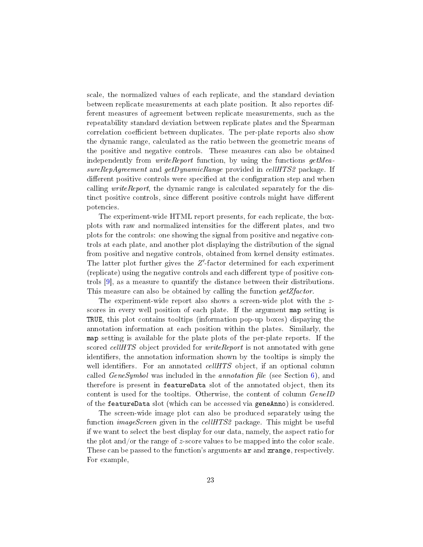<span id="page-22-0"></span>scale, the normalized values of each replicate, and the standard deviation between replicate measurements at each plate position. It also reportes different measures of agreement between replicate measurements, such as the repeatability standard deviation between replicate plates and the Spearman correlation coefficient between duplicates. The per-plate reports also show the dynamic range, calculated as the ratio between the geometric means of the positive and negative controls. These measures can also be obtained independently from *writeReport* function, by using the functions  $getMea$ sureRepAgreement and getDynamicRange provided in cellHTS2 package. If different positive controls were specified at the configuration step and when calling writeReport, the dynamic range is calculated separately for the distinct positive controls, since different positive controls might have different potencies.

The experiment-wide HTML report presents, for each replicate, the boxplots with raw and normalized intensities for the dierent plates, and two plots for the controls: one showing the signal from positive and negative controls at each plate, and another plot displaying the distribution of the signal from positive and negative controls, obtained from kernel density estimates. The latter plot further gives the  $Z'$ -factor determined for each experiment (replicate) using the negative controls and each different type of positive controls [\[9\]](#page-35-4), as a measure to quantify the distance between their distributions. This measure can also be obtained by calling the function  $qetZfactor$ .

The experiment-wide report also shows a screen-wide plot with the zscores in every well position of each plate. If the argument map setting is TRUE, this plot contains tooltips (information pop-up boxes) dispaying the annotation information at each position within the plates. Similarly, the map setting is available for the plate plots of the per-plate reports. If the scored *cellHTS* object provided for *writeReport* is not annotated with gene identifiers, the annotation information shown by the tooltips is simply the well identifiers. For an annotated *cellHTS* object, if an optional column called  $GeneSymbol$  was included in the *annotation file* (see Section [6\)](#page-20-0), and therefore is present in featureData slot of the annotated object, then its content is used for the tooltips. Otherwise, the content of column GeneID of the featureData slot (which can be accessed via geneAnno) is considered.

The screen-wide image plot can also be produced separately using the function  $imageScreen$  given in the  $cellHTS2$  package. This might be useful if we want to select the best display for our data, namely, the aspect ratio for the plot and/or the range of z-score values to be mapped into the color scale. These can be passed to the function's arguments ar and zrange, respectively. For example,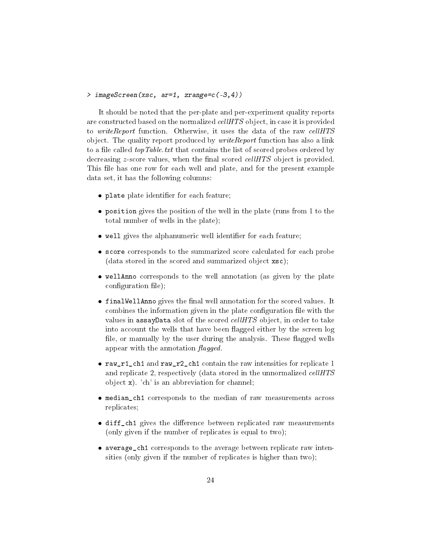```
> imageScreen(xsc, ar=1, zrange=c(-3,4))
```
It should be noted that the per-plate and per-experiment quality reports are constructed based on the normalized *cellHTS* object, in case it is provided to *writeReport* function. Otherwise, it uses the data of the raw *cellHTS* object. The quality report produced by *writeReport* function has also a link to a file called *topTable.txt* that contains the list of scored probes ordered by decreasing  $z$ -score values, when the final scored *cellHTS* object is provided. This file has one row for each well and plate, and for the present example data set, it has the following columns:

- plate plate identifier for each feature;
- position gives the position of the well in the plate (runs from 1 to the total number of wells in the plate);
- $\bullet$  well gives the alphanumeric well identifier for each feature;
- score corresponds to the summarized score calculated for each probe (data stored in the scored and summarized object xsc);
- wellAnno corresponds to the well annotation (as given by the plate  $\text{configuration file}$ ;
- $\bullet$  finalWellAnno gives the final well annotation for the scored values. It combines the information given in the plate configuration file with the values in assayData slot of the scored *cellHTS* object, in order to take into account the wells that have been flagged either by the screen log file, or manually by the user during the analysis. These flagged wells appear with the annotation  $\mathit{flagged}$ .
- raw\_r1\_ch1 and raw\_r2\_ch1 contain the raw intensities for replicate 1 and replicate 2, respectively (data stored in the unnormalized cellHTS object x). 'ch' is an abbreviation for channel;
- median\_ch1 corresponds to the median of raw measurements across replicates;
- $\bullet$  diff\_ch1 gives the difference between replicated raw measurements (only given if the number of replicates is equal to two);
- average\_ch1 corresponds to the average between replicate raw intensities (only given if the number of replicates is higher than two);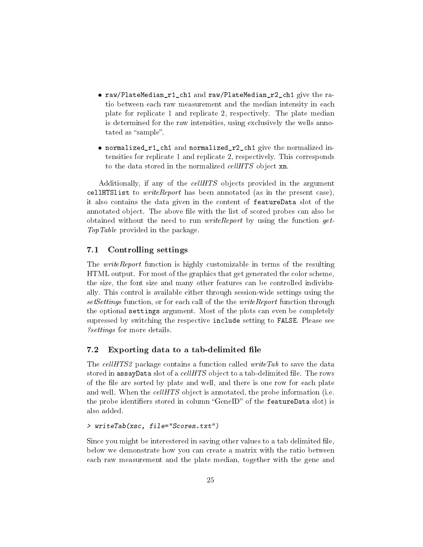- raw/PlateMedian\_r1\_ch1 and raw/PlateMedian\_r2\_ch1 give the ratio between each raw measurement and the median intensity in each plate for replicate 1 and replicate 2, respectively. The plate median is determined for the raw intensities, using exclusively the wells annotated as "sample".
- normalized\_r1\_ch1 and normalized\_r2\_ch1 give the normalized intensities for replicate 1 and replicate 2, respectively. This corresponds to the data stored in the normalized cellHTS object xn.

Additionally, if any of the cellHTS objects provided in the argument cellHTS list to *write Report* has been annotated (as in the present case), it also contains the data given in the content of featureData slot of the annotated object. The above file with the list of scored probes can also be obtained without the need to run *writeReport* by using the function  $qet$ -TopTable provided in the package.

# <span id="page-24-0"></span>7.1 Controlling settings

The *writeReport* function is highly customizable in terms of the resulting HTML output. For most of the graphics that get generated the color scheme, the size, the font size and many other features can be controlled individually. This control is available either through session-wide settings using the set Settings function, or for each call of the the *writeReport* function through the optional settings argument. Most of the plots can even be completely supressed by switching the respective include setting to FALSE. Please see ?settings for more details.

# <span id="page-24-1"></span>7.2 Exporting data to a tab-delimited file

The cellHTS2 package contains a function called write Tab to save the data stored in assayData slot of a cellHTS object to a tab-delimited file. The rows of the file are sorted by plate and well, and there is one row for each plate and well. When the  $cellHTS$  object is annotated, the probe information (i.e. the probe identifiers stored in column "GeneID" of the featureData slot) is also added.

# > writeTab(xsc, file="Scores.txt")

Since you might be interestered in saving other values to a tab delimited file, below we demonstrate how you can create a matrix with the ratio between each raw measurement and the plate median, together with the gene and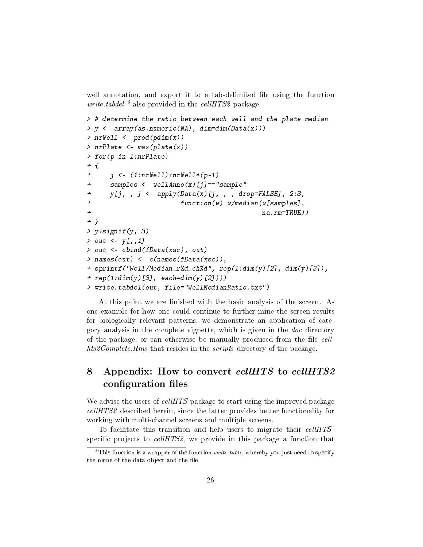well annotation, and export it to a tab-delimited file using the function *write tabdel*  $\frac{3}{2}$  $\frac{3}{2}$  $\frac{3}{2}$  also provided in the *cellHTS2* package.

```
> # determine the ratio between each well and the plate median
> y <- array(as.numeric(NA), dim=dim(Data(x)))
> nrWell \leq prod(pdim(x))
> nrPlate <- max(plate(x))
> for(p in 1:nrPlate)
+ f+ j \leq (1:nrWell) + nrWell * (p-1)+ samples <- wellAnno(x)[j]=="sample"
+ y[j, ,] \leq apply(Data(x)[j, ,], drop=FALSE], 2:3,+ function(w) w/median(w[samples],
+ na.rm=TRUE))
+ }
> y+signif(y, 3)
> out \leftarrow y[,,1]
> out <- cbind(fData(xsc), out)
> names(out) <- c(names(fData(xsc)),
+ sprintf("Well/Median_r%d_ch%d", rep(1:dim(y)[2], dim(y)[3]),
+ rep(1:dim(y) [3], each = dim(y) [2]))> write.tabdel(out, file="WellMedianRatio.txt")
```
At this point we are finished with the basic analysis of the screen. As one example for how one could continue to further mine the screen results for biologically relevant patterns, we demonstrate an application of category analysis in the complete vignette, which is given in the doc directory of the package, or can otherwise be manually produced from the file *cell*hts2Complete.Rnw that resides in the scripts directory of the package.

# <span id="page-25-0"></span>8 Appendix: How to convert cellHTS to cellHTS2 configuration files

We advise the users of cellHTS package to start using the improved package cellHTS2 described herein, since the latter provides better functionality for working with multi-channel screens and multiple screens.

To facilitate this transition and help users to migrate their cellHTSspecific projects to  $cellHTS2$ , we provide in this package a function that

<span id="page-25-1"></span> $3$ This function is a wrapper of the function *write.table*, whereby you just need to specify the name of the data object and the file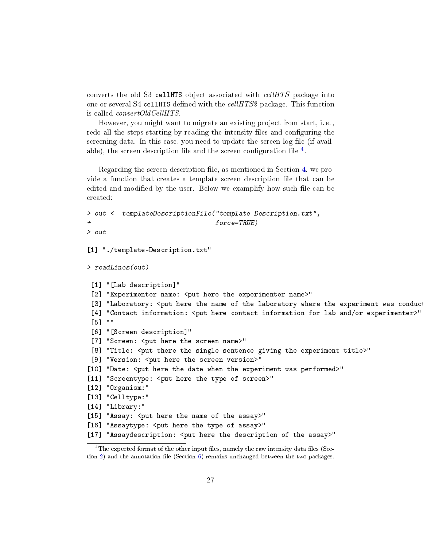converts the old S3 cellHTS object associated with cellHTS package into one or several S4 cellHTS defined with the  $cellHTS2$  package. This function is called convertOldCellHTS.

However, you might want to migrate an existing project from start, i. e. , redo all the steps starting by reading the intensity files and configuring the screening data. In this case, you need to update the screen log file (if available), the screen description file and the screen configuration file  $^4$  $^4$ .

Regarding the screen description file, as mentioned in Section [4,](#page-9-0) we provide a function that creates a template screen description file that can be edited and modified by the user. Below we examplify how such file can be created:

```
> out <- templateDescriptionFile("template-Description.txt",
+ force=TRUE)
> out
[1] "./template-Description.txt"
> readLines(out)
 [1] "[Lab description]"
 [2] "Experimenter name: <put here the experimenter name>"
 [3] "Laboratory: <put here the name of the laboratory where the experiment was conduc
 [4] "Contact information: <put here contact information for lab and/or experimenter>"
[5] ""
 [6] "[Screen description]"
 [7] "Screen: < put here the screen name>"
 [8] "Title: < put there the single-sentence giving the experiment title>"
 [9] "Version: <put here the screen version>"
[10] "Date: < put here the date when the experiment was performed>"
[11] "Screentype: < put here the type of screen>"
[12] "Organism:"
[13] "Celltype:"
[14] "Library:"
[15] "Assay: <put here the name of the assay>"
[16] "Assaytype: < put here the type of assay>"
[17] "Assaydescription: <put here the description of the assay>"
```
<span id="page-26-0"></span> $4$ The expected format of the other input files, namely the raw intensity data files (Sec-tion [2\)](#page-2-0) and the annotation file (Section  $6$ ) remains unchanged between the two packages.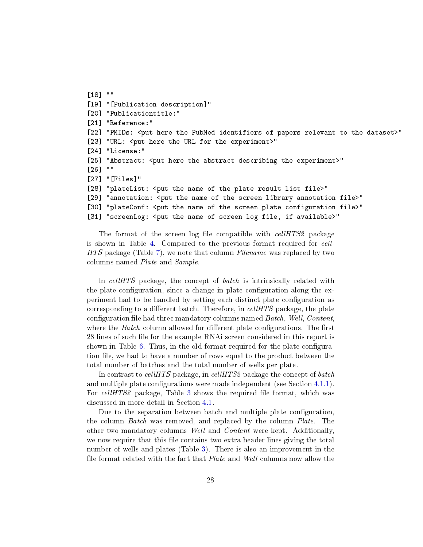```
[18] ""
[19] "[Publication description]"
[20] "Publicationtitle:"
[21] "Reference:"
[22] "PMIDs: <put here the PubMed identifiers of papers relevant to the dataset>"
[23] "URL: <put here the URL for the experiment>"
[24] "License:"
[25] "Abstract: <put here the abstract describing the experiment>"
[26] ""
[27] "[Files]"
[28] "plateList: <put the name of the plate result list file>"
[29] "annotation: <put the name of the screen library annotation file>"
[30] "plateConf: <put the name of the screen plate configuration file>"
[31] "screenLog: <put the name of screen log file, if available>"
```
The format of the screen log file compatible with *cellHTS2* package is shown in Table [4.](#page-10-1) Compared to the previous format required for cell-HTS package (Table [7\)](#page-29-3), we note that column Filename was replaced by two columns named Plate and Sample.

In cellHTS package, the concept of *batch* is intrinsically related with the plate configuration, since a change in plate configuration along the experiment had to be handled by setting each distinct plate configuration as corresponding to a different batch. Therefore, in  $cellHTS$  package, the plate configuration file had three mandatory columns named Batch, Well, Content. where the *Batch* column allowed for different plate configurations. The first 28 lines of such file for the example RNAi screen considered in this report is shown in Table  $6$ . Thus, in the old format required for the plate configuration file, we had to have a number of rows equal to the product between the total number of batches and the total number of wells per plate.

In contrast to cellHTS package, in cellHTS2 package the concept of batch and multiple plate configurations were made independent (see Section [4.1.1\)](#page-12-0). For cellHTS2 package, Table [3](#page-10-0) shows the required file format, which was discussed in more detail in Section [4.1.](#page-11-0)

Due to the separation between batch and multiple plate configuration, the column Batch was removed, and replaced by the column Plate. The other two mandatory columns Well and Content were kept. Additionally, we now require that this file contains two extra header lines giving the total number of wells and plates (Table [3\)](#page-10-0). There is also an improvement in the file format related with the fact that *Plate* and *Well* columns now allow the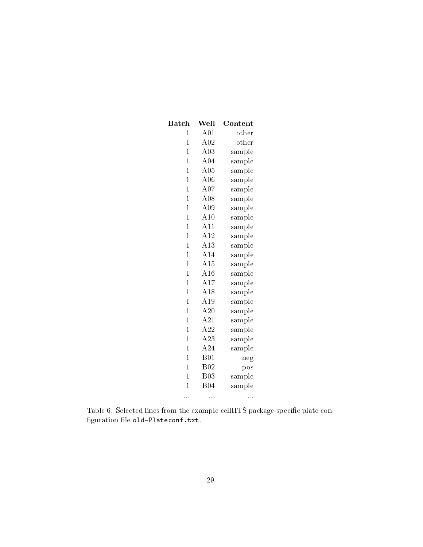| ${\bf Batch}$  | Well       | ${\bf Content}$ |
|----------------|------------|-----------------|
| $\overline{1}$ | A01        | other           |
| 1              | A02        | other           |
| $\mathbf 1$    | A03        | sample          |
| 1              | A04        | sample          |
| $\mathbf 1$    | A05        | sample          |
| 1              | A06        | sample          |
| $\overline{1}$ | A07        | sample          |
| 1              | A08        | sample          |
| $\mathbf{1}$   | A09        | sample          |
| $\overline{1}$ | A10        | sample          |
| $\mathbf{1}$   | A11        | sample          |
| $\mathbf 1$    | A12        | sample          |
| $\mathbf{1}$   | A13        | sample          |
| $\overline{1}$ | A14        | sample          |
| $\overline{1}$ | A15        | sample          |
| $\overline{1}$ | A16        | sample          |
| 1              | A17        | sample          |
| $\overline{1}$ | A18        | sample          |
| $\overline{1}$ | A19        | sample          |
| $\mathbf 1$    | A20        | sample          |
| $\mathbf{1}$   | A21        | sample          |
| $\mathbf 1$    | A22        | sample          |
| $\overline{1}$ | A23        | sample          |
| $\mathbf 1$    | A24        | sample          |
| 1              | B01        | neg             |
| $\mathbf 1$    | B02        | pos             |
| $\overline{1}$ | <b>B03</b> | sample          |
| $\mathbf{1}$   | <b>B04</b> | sample          |
| $\sim$         | Ω,         | e e s           |

<span id="page-28-0"></span>Table 6: Selected lines from the example cellHTS package-specific plate con- ${\rm figuration\ file\ oldph{old-Plateconf.txt.}}$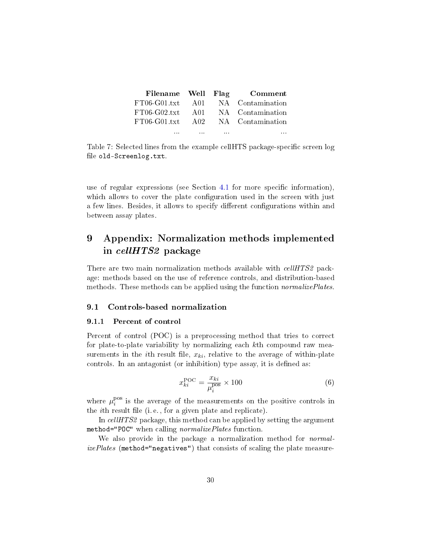|               |                                              | Filename Well Flag Comment        |
|---------------|----------------------------------------------|-----------------------------------|
|               |                                              | FT06-G01.txt A01 NA Contamination |
|               |                                              | FT06-G02.txt A01 NA Contamination |
|               |                                              | FT06-G01.txt A02 NA Contamination |
| $\sim$ $\sim$ | the control of the control of the control of | $\cdots$                          |

<span id="page-29-3"></span>Table 7: Selected lines from the example cellHTS package-specific screen log file old-Screenlog.txt.

use of regular expressions (see Section [4.1](#page-11-0) for more specific information), which allows to cover the plate configuration used in the screen with just a few lines. Besides, it allows to specify different configurations within and between assay plates.

# <span id="page-29-0"></span>9 Appendix: Normalization methods implemented in cellHTS2 package

There are two main normalization methods available with *cellHTS2* package: methods based on the use of reference controls, and distribution-based methods. These methods can be applied using the function *normalizePlates*.

# <span id="page-29-1"></span>9.1 Controls-based normalization

### <span id="page-29-2"></span>9.1.1 Percent of control

Percent of control (POC) is a preprocessing method that tries to correct for plate-to-plate variability by normalizing each kth compound raw measurements in the *i*th result file,  $x_{ki}$ , relative to the average of within-plate controls. In an antagonist (or inhibition) type assay, it is defined as:

$$
x_{ki}^{\rm POC} = \frac{x_{ki}}{\mu_i^{\rm pos}} \times 100\tag{6}
$$

where  $\mu_i^{\text{pos}}$  $i_i^{\text{pos}}$  is the average of the measurements on the positive controls in the *i*th result file (i.e., for a given plate and replicate).

In cellHTS2 package, this method can be applied by setting the argument method="POC" when calling normalizePlates function.

We also provide in the package a normalization method for *normal*izePlates (method="negatives") that consists of scaling the plate measure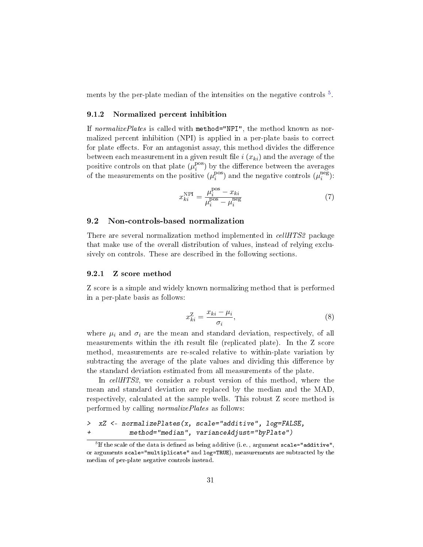ments by the per-plate median of the intensities on the negative controls  $^5$  $^5$ .

#### <span id="page-30-0"></span>9.1.2 Normalized percent inhibition

If normalizePlates is called with method="NPI", the method known as normalized percent inhibition (NPI) is applied in a per-plate basis to correct for plate effects. For an antagonist assay, this method divides the difference between each measurement in a given result file  $i(x_{ki})$  and the average of the positive controls on that plate  $(\mu_i^{\text{pos}})$  $\binom{\text{pos}}{i}$  by the difference between the averages of the measurements on the positive  $(\mu_i^{\text{pos}})$  $_i^{\text{pos}}$ ) and the negative controls  $(\mu_i^{\text{neg}})$  $\binom{neg}{i}$ .

$$
x_{ki}^{\text{NPI}} = \frac{\mu_i^{\text{pos}} - x_{ki}}{\mu_i^{\text{pos}} - \mu_i^{\text{neg}}}
$$
 (7)

# <span id="page-30-1"></span>9.2 Non-controls-based normalization

There are several normalization method implemented in *cellHTS2* package that make use of the overall distribution of values, instead of relying exclusively on controls. These are described in the following sections.

#### <span id="page-30-2"></span>9.2.1 Z score method

Z score is a simple and widely known normalizing method that is performed in a per-plate basis as follows:

$$
x_{ki}^Z = \frac{x_{ki} - \mu_i}{\sigma_i},\tag{8}
$$

where  $\mu_i$  and  $\sigma_i$  are the mean and standard deviation, respectively, of all measurements within the  $i$ th result file (replicated plate). In the Z score method, measurements are re-scaled relative to within-plate variation by subtracting the average of the plate values and dividing this difference by the standard deviation estimated from all measurements of the plate.

In cellHTS2, we consider a robust version of this method, where the mean and standard deviation are replaced by the median and the MAD, respectively, calculated at the sample wells. This robust Z score method is performed by calling normalizePlates as follows:

```
> xZ <- normalizePlates(x, scale="additive", log=FALSE,
+ method="median", varianceAdjust="byPlate")
```
<span id="page-30-3"></span> $^5$ If the scale of the data is defined as being additive (i.e. , argument  $\tt scale="additive",$ or arguments scale="multiplicate" and log=TRUE), measurements are subtracted by the median of per-plate negative controls instead.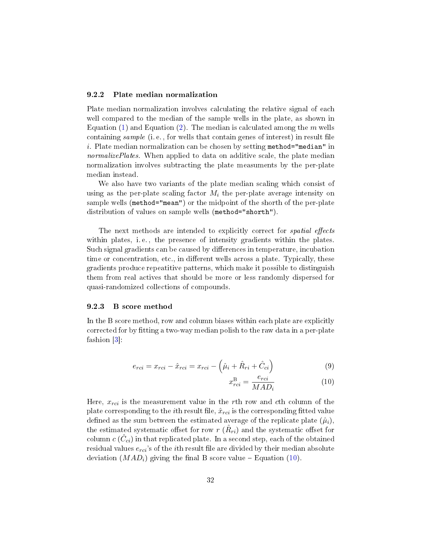### <span id="page-31-3"></span><span id="page-31-0"></span>9.2.2 Plate median normalization

Plate median normalization involves calculating the relative signal of each well compared to the median of the sample wells in the plate, as shown in Equation [\(1\)](#page-16-0) and Equation [\(2\)](#page-16-0). The median is calculated among the  $m$  wells containing sample (i.e., for wells that contain genes of interest) in result file i. Plate median normalization can be chosen by setting method="median" in normalizePlates. When applied to data on additive scale, the plate median normalization involves subtracting the plate measuments by the per-plate median instead.

We also have two variants of the plate median scaling which consist of using as the per-plate scaling factor  $M_i$  the per-plate average intensity on sample wells (method="mean") or the midpoint of the shorth of the per-plate distribution of values on sample wells (method="shorth").

The next methods are intended to explicitly correct for *spatial effects* within plates, i.e., the presence of intensity gradients within the plates. Such signal gradients can be caused by differences in temperature, incubation time or concentration, etc., in different wells across a plate. Typically, these gradients produce repeatitive patterns, which make it possible to distinguish them from real actives that should be more or less randomly dispersed for quasi-randomized collections of compounds.

#### <span id="page-31-1"></span>9.2.3 B score method

In the B score method, row and column biases within each plate are explicitly corrected for by fitting a two-way median polish to the raw data in a per-plate fashion [\[3\]](#page-35-5):

<span id="page-31-2"></span>
$$
e_{rci} = x_{rci} - \hat{x}_{rci} = x_{rci} - \left(\hat{\mu}_i + \hat{R}_{ri} + \hat{C}_{ci}\right)
$$
\n(9)

$$
x_{rci}^{\text{B}} = \frac{e_{rci}}{MAD_i} \tag{10}
$$

Here,  $x_{rci}$  is the measurement value in the rth row and cth column of the plate corresponding to the *i*th result file,  $\hat{x}_{rci}$  is the corresponding fitted value defined as the sum between the estimated average of the replicate plate  $(\hat{\mu}_i)$ . the estimated systematic offset for row  $r$   $(\hat{R}_{ri})$  and the systematic offset for  $\mathop{\rm column} c\,(\hat{C}_{ci})$  in that replicated plate. In a second step, each of the obtained residual values  $e_{rci}$ 's of the *i*th result file are divided by their median absolute deviation  $(MAD_i)$  giving the final B score value – Equation [\(10\)](#page-31-2).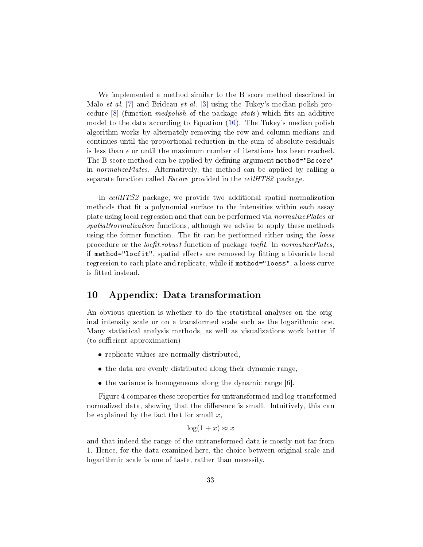<span id="page-32-1"></span>We implemented a method similar to the B score method described in Malo et al. [\[7\]](#page-35-6) and Brideau et al. [\[3\]](#page-35-5) using the Tukey's median polish procedure  $[8]$  (function *medpolish* of the package *stats*) which fits an additive model to the data according to Equation [\(10\)](#page-31-2). The Tukey's median polish algorithm works by alternately removing the row and column medians and continues until the proportional reduction in the sum of absolute residuals is less than  $\epsilon$  or until the maximum number of iterations has been reached. The B score method can be applied by defining argument method="Bscore" in normalizePlates. Alternatively, the method can be applied by calling a separate function called *Bscore* provided in the *cellHTS2* package.

In cellHTS2 package, we provide two additional spatial normalization methods that fit a polynomial surface to the intensities within each assay plate using local regression and that can be performed via normalizePlates or spatialNormalization functions, although we advise to apply these methods using the former function. The fit can be performed either using the loess procedure or the *locfit robust* function of package *locfit*. In *normalizePlates*, if method="locfit", spatial effects are removed by fitting a bivariate local regression to each plate and replicate, while if method="loess", a loess curve is fitted instead.

# <span id="page-32-0"></span>10 Appendix: Data transformation

An obvious question is whether to do the statistical analyses on the original intensity scale or on a transformed scale such as the logarithmic one. Many statistical analysis methods, as well as visualizations work better if (to sufficient approximation)

- replicate values are normally distributed,
- the data are evenly distributed along their dynamic range,
- $\bullet$  the variance is homogeneous along the dynamic range [\[6\]](#page-35-8).

Figure [4](#page-33-0) compares these properties for untransformed and log-transformed normalized data, showing that the difference is small. Intuitively, this can be explained by the fact that for small  $x$ ,

# $\log(1+x) \approx x$

and that indeed the range of the untransformed data is mostly not far from 1. Hence, for the data examined here, the choice between original scale and logarithmic scale is one of taste, rather than necessity.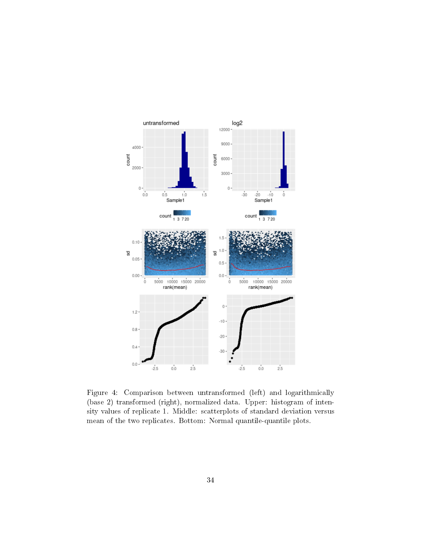

<span id="page-33-0"></span>Figure 4: Comparison between untransformed (left) and logarithmically (base 2) transformed (right), normalized data. Upper: histogram of intensity values of replicate 1. Middle: scatterplots of standard deviation versus mean of the two replicates. Bottom: Normal quantile-quantile plots.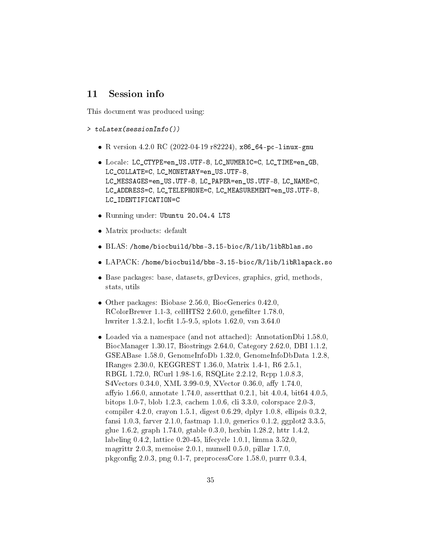# <span id="page-34-0"></span>11 Session info

This document was produced using:

```
> toLatex(sessionInfo())
```
- R version 4.2.0 RC (2022-04-19 r82224), x86\_64-pc-linux-gnu
- Locale: LC\_CTYPE=en\_US.UTF-8, LC\_NUMERIC=C, LC\_TIME=en\_GB, LC\_COLLATE=C, LC\_MONETARY=en\_US.UTF-8, LC\_MESSAGES=en\_US.UTF-8, LC\_PAPER=en\_US.UTF-8, LC\_NAME=C, LC\_ADDRESS=C, LC\_TELEPHONE=C, LC\_MEASUREMENT=en\_US.UTF-8, LC\_IDENTIFICATION=C
- Running under: Ubuntu 20.04.4 LTS
- Matrix products: default
- BLAS: /home/biocbuild/bbs-3.15-bioc/R/lib/libRblas.so
- LAPACK: /home/biocbuild/bbs-3.15-bioc/R/lib/libRlapack.so
- Base packages: base, datasets, grDevices, graphics, grid, methods, stats, utils
- Other packages: Biobase 2.56.0, BiocGenerics 0.42.0,  $RColorBrewer 1.1-3, cellHTS2 2.60.0, genefilter 1.78.0,$ hwriter 1.3.2.1, locfit 1.5-9.5, splots 1.62.0, vsn 3.64.0
- Loaded via a namespace (and not attached): AnnotationDbi 1.58.0, BiocManager 1.30.17, Biostrings 2.64.0, Category 2.62.0, DBI 1.1.2, GSEABase 1.58.0, GenomeInfoDb 1.32.0, GenomeInfoDbData 1.2.8, IRanges 2.30.0, KEGGREST 1.36.0, Matrix 1.4-1, R6 2.5.1, RBGL 1.72.0, RCurl 1.98-1.6, RSQLite 2.2.12, Rcpp 1.0.8.3, S4Vectors 0.34.0, XML 3.99-0.9, XVector 0.36.0, affy 1.74.0, affyio 1.66.0, annotate 1.74.0, assert that  $0.2.1$ , bit  $4.0.4$ , bit  $64.4.0.5$ , bitops 1.0-7, blob 1.2.3, cachem 1.0.6, cli 3.3.0, colorspace 2.0-3, compiler 4.2.0, crayon 1.5.1, digest 0.6.29, dplyr 1.0.8, ellipsis 0.3.2, fansi 1.0.3, farver 2.1.0, fastmap 1.1.0, generics 0.1.2, ggplot2 3.3.5, glue 1.6.2, graph 1.74.0, gtable 0.3.0, hexbin 1.28.2, httr 1.4.2, labeling 0.4.2, lattice 0.20-45, lifecycle 1.0.1, limma 3.52.0, magrittr 2.0.3, memoise 2.0.1, munsell 0.5.0, pillar 1.7.0, pkgcong 2.0.3, png 0.1-7, preprocessCore 1.58.0, purrr 0.3.4,